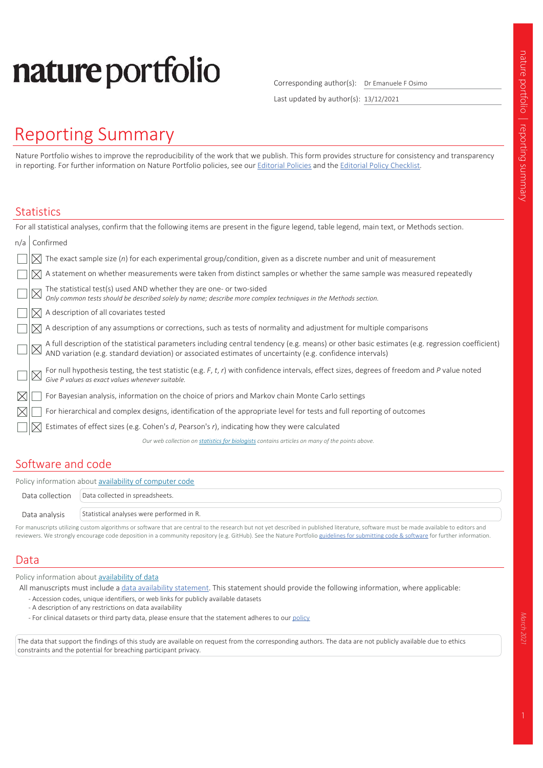# nature portfolio

Corresponding author(s): Dr Emanuele F Osimo

Last updated by author(s): 13/12/2021

## Reporting Summary

Nature Portfolio wishes to improve the reproducibility of the work that we publish. This form provides structure for consistency and transparency in reporting. For further information on Nature Portfolio policies, see our Editorial Policies and the Editorial Policy Checklist.

#### **Statistics**

|     | For all statistical analyses, confirm that the following items are present in the figure legend, table legend, main text, or Methods section.                                                                                  |
|-----|--------------------------------------------------------------------------------------------------------------------------------------------------------------------------------------------------------------------------------|
| n/a | Confirmed                                                                                                                                                                                                                      |
|     | The exact sample size $(n)$ for each experimental group/condition, given as a discrete number and unit of measurement                                                                                                          |
|     | A statement on whether measurements were taken from distinct samples or whether the same sample was measured repeatedly                                                                                                        |
|     | The statistical test(s) used AND whether they are one- or two-sided<br>Only common tests should be described solely by name; describe more complex techniques in the Methods section.                                          |
|     | A description of all covariates tested                                                                                                                                                                                         |
|     | A description of any assumptions or corrections, such as tests of normality and adjustment for multiple comparisons                                                                                                            |
|     | A full description of the statistical parameters including central tendency (e.g. means) or other basic estimates (e.g. regression coefficient) AND variation (e.g. standard deviation) or associated estimates of uncertainty |
|     | For null hypothesis testing, the test statistic (e.g. F, t, r) with confidence intervals, effect sizes, degrees of freedom and P value noted Give P values as exact values whenever suitable.                                  |
|     | For Bayesian analysis, information on the choice of priors and Markov chain Monte Carlo settings                                                                                                                               |
|     | For hierarchical and complex designs, identification of the appropriate level for tests and full reporting of outcomes                                                                                                         |
|     | Estimates of effect sizes (e.g. Cohen's $d$ , Pearson's $r$ ), indicating how they were calculated                                                                                                                             |
|     | Our web collection on statistics for biologists contains articles on many of the points above.                                                                                                                                 |
|     |                                                                                                                                                                                                                                |

#### Software and code

| Policy information about availability of computer code |                                           |  |  |  |  |  |  |
|--------------------------------------------------------|-------------------------------------------|--|--|--|--|--|--|
| Data collection                                        | Data collected in spreadsheets.           |  |  |  |  |  |  |
| Data analysis                                          | Statistical analyses were performed in R. |  |  |  |  |  |  |

For manuscripts utilizing custom algorithms or software that are central to the research but not yet described in published literature, software must be made available to editors and reviewers. We strongly encourage code deposition in a community repository (e.g. GitHub). See the Nature Portfolio guidelines for submitting code & software for further information.

#### Data

Policy information about availability of data

All manuscripts must include a data availability statement. This statement should provide the following information, where applicable:

- Accession codes, unique identifiers, or web links for publicly available datasets
- A description of any restrictions on data availability
- For clinical datasets or third party data, please ensure that the statement adheres to our policy

The data that support the findings of this study are available on request from the corresponding authors. The data are not publicly available due to ethics constraints and the potential for breaching participant privacy.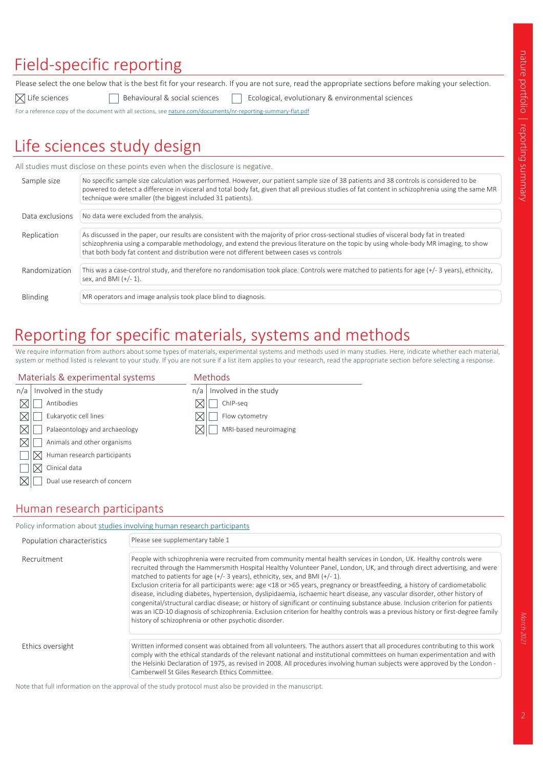### Field-specific reporting

Please select the one below that is the best fit for your research. If you are not sure, read the appropriate sections before making your selection.

 $\boxtimes$  Life sciences  $\Box$  Behavioural & social sciences  $\Box$  Ecological, evolutionary & environmental sciences

For a reference copy of the document with all sections, see nature.com/documents/nr-reporting-summary-flat.pdf

## Life sciences study design

All studies must disclose on these points even when the disclosure is negative.

| Sample size     | No specific sample size calculation was performed. However, our patient sample size of 38 patients and 38 controls is considered to be<br>powered to detect a difference in visceral and total body fat, given that all previous studies of fat content in schizophrenia using the same MR<br>technique were smaller (the biggest included 31 patients).                      |
|-----------------|-------------------------------------------------------------------------------------------------------------------------------------------------------------------------------------------------------------------------------------------------------------------------------------------------------------------------------------------------------------------------------|
| Data exclusions | No data were excluded from the analysis.                                                                                                                                                                                                                                                                                                                                      |
| Replication     | As discussed in the paper, our results are consistent with the majority of prior cross-sectional studies of visceral body fat in treated<br>schizophrenia using a comparable methodology, and extend the previous literature on the topic by using whole-body MR imaging, to show<br>that both body fat content and distribution were not different between cases vs controls |
| Randomization   | This was a case-control study, and therefore no randomisation took place. Controls were matched to patients for age (+/-3 years), ethnicity,<br>sex, and BMI $(+/- 1)$ .                                                                                                                                                                                                      |
| Blinding        | MR operators and image analysis took place blind to diagnosis.                                                                                                                                                                                                                                                                                                                |

### Reporting for specific materials, systems and methods

We require information from authors about some types of materials, experimental systems and methods used in many studies. Here, indicate whether each material, system or method listed is relevant to your study. If you are not sure if a list item applies to your research, read the appropriate section before selecting a response.

#### Materials & experimental systems Methods  $n/a$  Involved in the study  $n/a$  Involved in the study  $\boxtimes$ Antibodies  $\boxtimes$  $\Box$  ChIP-seq Eukaryotic cell lines  $\boxtimes$  $\boxtimes$  $\Box$  Flow cytometry  $\boxtimes$ Palaeontology and archaeology  $\boxtimes$ MRI-based neuroimaging  $\boxtimes$ Animals and other organisms  $\nabla$  Human research participants  $\n  $\n *\infty*$ \n Clinical data$  $\boxtimes$ Dual use research of concern

#### Human research participants

|                            | Policy information about studies involving human research participants                                                                                                                                                                                                                                                                                                                                                                                                                                                                                                                                                                                                                                                                                                                                                                                                                                                             |
|----------------------------|------------------------------------------------------------------------------------------------------------------------------------------------------------------------------------------------------------------------------------------------------------------------------------------------------------------------------------------------------------------------------------------------------------------------------------------------------------------------------------------------------------------------------------------------------------------------------------------------------------------------------------------------------------------------------------------------------------------------------------------------------------------------------------------------------------------------------------------------------------------------------------------------------------------------------------|
| Population characteristics | Please see supplementary table 1                                                                                                                                                                                                                                                                                                                                                                                                                                                                                                                                                                                                                                                                                                                                                                                                                                                                                                   |
| Recruitment                | People with schizophrenia were recruited from community mental health services in London, UK. Healthy controls were<br>recruited through the Hammersmith Hospital Healthy Volunteer Panel, London, UK, and through direct advertising, and were<br>matched to patients for age $(+/- 3$ years), ethnicity, sex, and BMI $(+/- 1)$ .<br>Exclusion criteria for all participants were: age <18 or >65 years, pregnancy or breastfeeding, a history of cardiometabolic<br>disease, including diabetes, hypertension, dyslipidaemia, ischaemic heart disease, any vascular disorder, other history of<br>congenital/structural cardiac disease; or history of significant or continuing substance abuse. Inclusion criterion for patients<br>was an ICD-10 diagnosis of schizophrenia. Exclusion criterion for healthy controls was a previous history or first-degree family<br>history of schizophrenia or other psychotic disorder. |
| Ethics oversight           | Written informed consent was obtained from all volunteers. The authors assert that all procedures contributing to this work<br>comply with the ethical standards of the relevant national and institutional committees on human experimentation and with<br>the Helsinki Declaration of 1975, as revised in 2008. All procedures involving human subjects were approved by the London -<br>Camberwell St Giles Research Ethics Committee.                                                                                                                                                                                                                                                                                                                                                                                                                                                                                          |

Note that full information on the approval of the study protocol must also be provided in the manuscript.